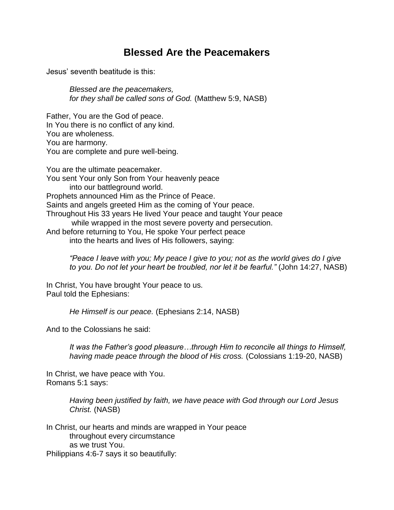## **Blessed Are the Peacemakers**

Jesus' seventh beatitude is this:

*Blessed are the peacemakers, for they shall be called sons of God.* (Matthew 5:9, NASB)

Father, You are the God of peace. In You there is no conflict of any kind. You are wholeness. You are harmony. You are complete and pure well-being.

You are the ultimate peacemaker. You sent Your only Son from Your heavenly peace into our battleground world. Prophets announced Him as the Prince of Peace. Saints and angels greeted Him as the coming of Your peace. Throughout His 33 years He lived Your peace and taught Your peace while wrapped in the most severe poverty and persecution. And before returning to You, He spoke Your perfect peace into the hearts and lives of His followers, saying:

*"Peace I leave with you; My peace I give to you; not as the world gives do I give to you. Do not let your heart be troubled, nor let it be fearful."* (John 14:27, NASB)

In Christ, You have brought Your peace to us. Paul told the Ephesians:

*He Himself is our peace.* (Ephesians 2:14, NASB)

And to the Colossians he said:

*It was the Father's good pleasure…through Him to reconcile all things to Himself, having made peace through the blood of His cross.* (Colossians 1:19-20, NASB)

In Christ, we have peace with You. Romans 5:1 says:

> *Having been justified by faith, we have peace with God through our Lord Jesus Christ.* (NASB)

In Christ, our hearts and minds are wrapped in Your peace throughout every circumstance as we trust You. Philippians 4:6-7 says it so beautifully: